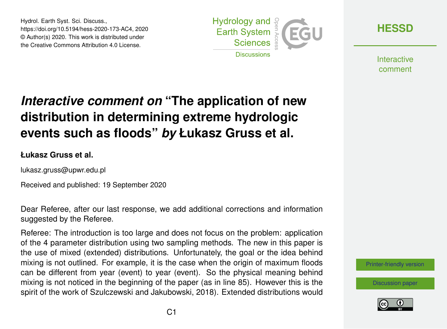Hydrol. Earth Syst. Sci. Discuss., https://doi.org/10.5194/hess-2020-173-AC4, 2020 © Author(s) 2020. This work is distributed under the Creative Commons Attribution 4.0 License.



**[HESSD](https://hess.copernicus.org/preprints/)**

**Interactive** comment

# *Interactive comment on* **"The application of new distribution in determining extreme hydrologic events such as floods"** *by* **Łukasz Gruss et al.**

#### **Łukasz Gruss et al.**

lukasz.gruss@upwr.edu.pl

Received and published: 19 September 2020

Dear Referee, after our last response, we add additional corrections and information suggested by the Referee.

Referee: The introduction is too large and does not focus on the problem: application of the 4 parameter distribution using two sampling methods. The new in this paper is the use of mixed (extended) distributions. Unfortunately, the goal or the idea behind mixing is not outlined. For example, it is the case when the origin of maximum floods can be different from year (event) to year (event). So the physical meaning behind mixing is not noticed in the beginning of the paper (as in line 85). However this is the spirit of the work of Szulczewski and Jakubowski, 2018). Extended distributions would

[Printer-friendly version](https://hess.copernicus.org/preprints/hess-2020-173/hess-2020-173-AC4-print.pdf)

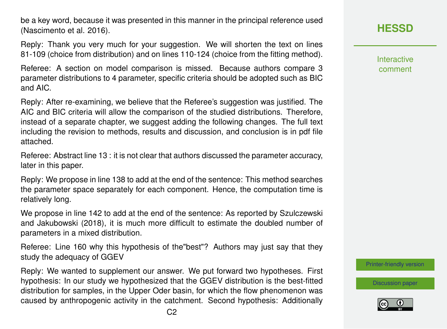be a key word, because it was presented in this manner in the principal reference used (Nascimento et al. 2016).

Reply: Thank you very much for your suggestion. We will shorten the text on lines 81-109 (choice from distribution) and on lines 110-124 (choice from the fitting method).

Referee: A section on model comparison is missed. Because authors compare 3 parameter distributions to 4 parameter, specific criteria should be adopted such as BIC and AIC.

Reply: After re-examining, we believe that the Referee's suggestion was justified. The AIC and BIC criteria will allow the comparison of the studied distributions. Therefore, instead of a separate chapter, we suggest adding the following changes. The full text including the revision to methods, results and discussion, and conclusion is in pdf file attached.

Referee: Abstract line 13 : it is not clear that authors discussed the parameter accuracy, later in this paper.

Reply: We propose in line 138 to add at the end of the sentence: This method searches the parameter space separately for each component. Hence, the computation time is relatively long.

We propose in line 142 to add at the end of the sentence: As reported by Szulczewski and Jakubowski (2018), it is much more difficult to estimate the doubled number of parameters in a mixed distribution.

Referee: Line 160 why this hypothesis of the"best"? Authors may just say that they study the adequacy of GGEV

Reply: We wanted to supplement our answer. We put forward two hypotheses. First hypothesis: In our study we hypothesized that the GGEV distribution is the best-fitted distribution for samples, in the Upper Oder basin, for which the flow phenomenon was caused by anthropogenic activity in the catchment. Second hypothesis: Additionally

### **[HESSD](https://hess.copernicus.org/preprints/)**

Interactive comment

[Printer-friendly version](https://hess.copernicus.org/preprints/hess-2020-173/hess-2020-173-AC4-print.pdf)

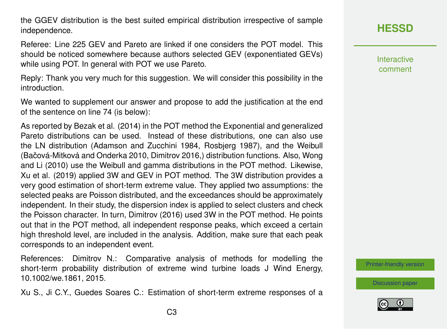the GGEV distribution is the best suited empirical distribution irrespective of sample independence.

Referee: Line 225 GEV and Pareto are linked if one considers the POT model. This should be noticed somewhere because authors selected GEV (exponentiated GEVs) while using POT. In general with POT we use Pareto.

Reply: Thank you very much for this suggestion. We will consider this possibility in the introduction.

We wanted to supplement our answer and propose to add the justification at the end of the sentence on line 74 (is below):

As reported by Bezak et al. (2014) in the POT method the Exponential and generalized Pareto distributions can be used. Instead of these distributions, one can also use the LN distribution (Adamson and Zucchini 1984, Rosbjerg 1987), and the Weibull (Bačová-Mitková and Onderka 2010, Dimitrov 2016.) distribution functions. Also, Wong and Li (2010) use the Weibull and gamma distributions in the POT method. Likewise, Xu et al. (2019) applied 3W and GEV in POT method. The 3W distribution provides a very good estimation of short-term extreme value. They applied two assumptions: the selected peaks are Poisson distributed, and the exceedances should be approximately independent. In their study, the dispersion index is applied to select clusters and check the Poisson character. In turn, Dimitrov (2016) used 3W in the POT method. He points out that in the POT method, all independent response peaks, which exceed a certain high threshold level, are included in the analysis. Addition, make sure that each peak corresponds to an independent event.

References: Dimitrov N.: Comparative analysis of methods for modelling the short-term probability distribution of extreme wind turbine loads J Wind Energy, 10.1002/we.1861, 2015.

Xu S., Ji C.Y., Guedes Soares C.: Estimation of short-term extreme responses of a

### **[HESSD](https://hess.copernicus.org/preprints/)**

Interactive comment

[Printer-friendly version](https://hess.copernicus.org/preprints/hess-2020-173/hess-2020-173-AC4-print.pdf)

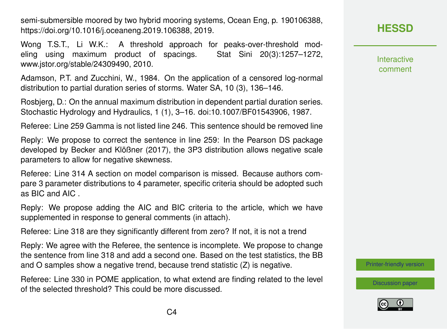semi-submersible moored by two hybrid mooring systems, Ocean Eng, p. 190106388, https://doi.org/10.1016/j.oceaneng.2019.106388, 2019.

Wong T.S.T., Li W.K.: A threshold approach for peaks-over-threshold modeling using maximum product of spacings. Stat Sini 20(3):1257–1272, www.jstor.org/stable/24309490, 2010.

Adamson, P.T. and Zucchini, W., 1984. On the application of a censored log-normal distribution to partial duration series of storms. Water SA, 10 (3), 136–146.

Rosbjerg, D.: On the annual maximum distribution in dependent partial duration series. Stochastic Hydrology and Hydraulics, 1 (1), 3–16. doi:10.1007/BF01543906, 1987.

Referee: Line 259 Gamma is not listed line 246. This sentence should be removed line

Reply: We propose to correct the sentence in line 259: In the Pearson DS package developed by Becker and Klößner (2017), the 3P3 distribution allows negative scale parameters to allow for negative skewness.

Referee: Line 314 A section on model comparison is missed. Because authors compare 3 parameter distributions to 4 parameter, specific criteria should be adopted such as BIC and AIC .

Reply: We propose adding the AIC and BIC criteria to the article, which we have supplemented in response to general comments (in attach).

Referee: Line 318 are they significantly different from zero? If not, it is not a trend

Reply: We agree with the Referee, the sentence is incomplete. We propose to change the sentence from line 318 and add a second one. Based on the test statistics, the BB and O samples show a negative trend, because trend statistic (Z) is negative.

Referee: Line 330 in POME application, to what extend are finding related to the level of the selected threshold? This could be more discussed.

# **[HESSD](https://hess.copernicus.org/preprints/)**

**Interactive** comment

[Printer-friendly version](https://hess.copernicus.org/preprints/hess-2020-173/hess-2020-173-AC4-print.pdf)